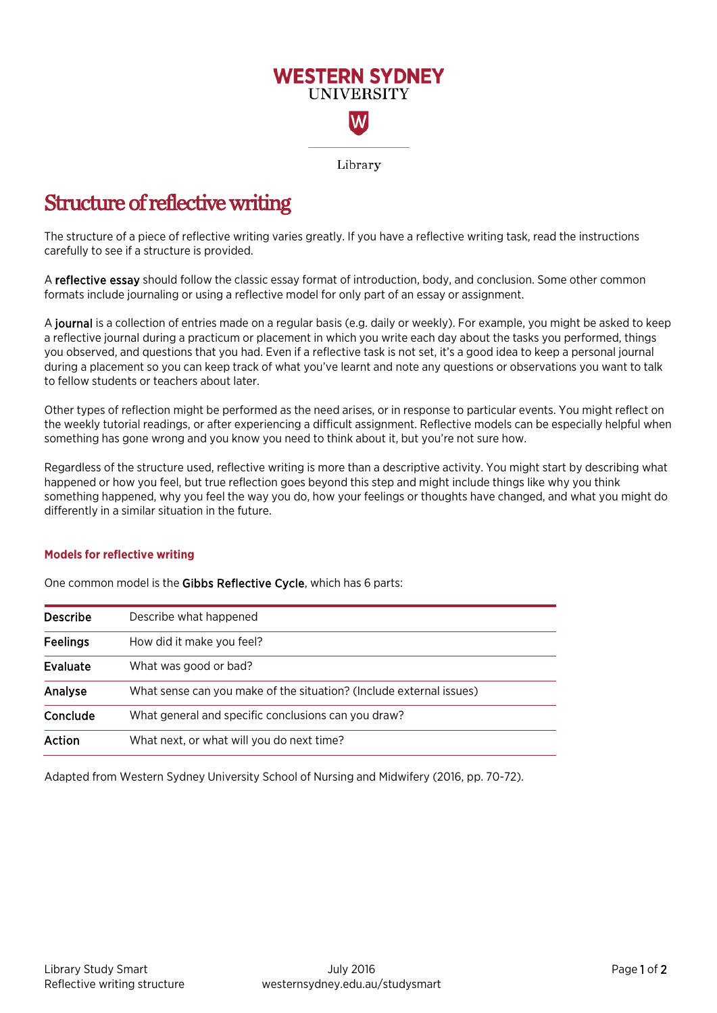

## Structure of reflective writing

The structure of a piece of reflective writing varies greatly. If you have a reflective writing task, read the instructions carefully to see if a structure is provided.

A reflective essay should follow the classic essay format of introduction, body, and conclusion. Some other common formats include journaling or using a reflective model for only part of an essay or assignment.

A journal is a collection of entries made on a regular basis (e.g. daily or weekly). For example, you might be asked to keep a reflective journal during a practicum or placement in which you write each day about the tasks you performed, things you observed, and questions that you had. Even if a reflective task is not set, it's a good idea to keep a personal journal during a placement so you can keep track of what you've learnt and note any questions or observations you want to talk to fellow students or teachers about later.

Other types of reflection might be performed as the need arises, or in response to particular events. You might reflect on the weekly tutorial readings, or after experiencing a difficult assignment. Reflective models can be especially helpful when something has gone wrong and you know you need to think about it, but you're not sure how.

Regardless of the structure used, reflective writing is more than a descriptive activity. You might start by describing what happened or how you feel, but true reflection goes beyond this step and might include things like why you think something happened, why you feel the way you do, how your feelings or thoughts have changed, and what you might do differently in a similar situation in the future.

## **Models for reflective writing**

One common model is the Gibbs Reflective Cycle, which has 6 parts:

| <b>Describe</b> | Describe what happened                                              |  |
|-----------------|---------------------------------------------------------------------|--|
| <b>Feelings</b> | How did it make you feel?                                           |  |
| Evaluate        | What was good or bad?                                               |  |
| Analyse         | What sense can you make of the situation? (Include external issues) |  |
| Conclude        | What general and specific conclusions can you draw?                 |  |
| Action          | What next, or what will you do next time?                           |  |

Adapted from Western Sydney University School of Nursing and Midwifery (2016, pp. 70-72).